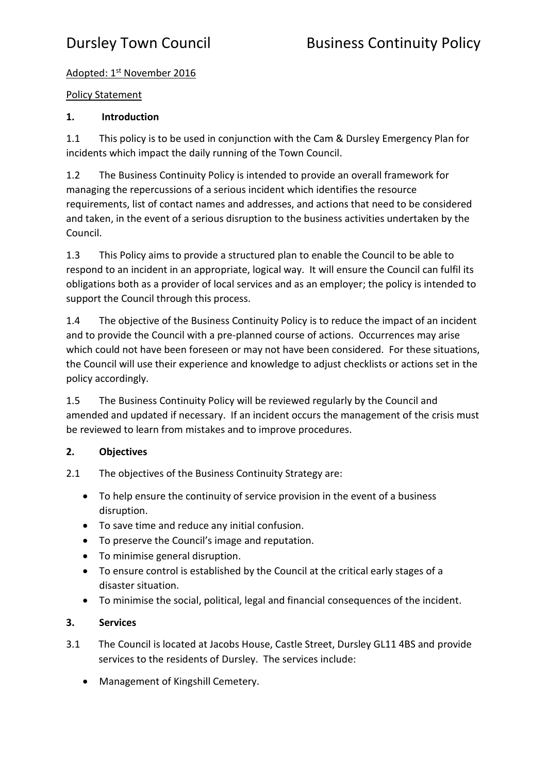# Adopted: 1st November 2016

## Policy Statement

# **1. Introduction**

1.1 This policy is to be used in conjunction with the Cam & Dursley Emergency Plan for incidents which impact the daily running of the Town Council.

1.2 The Business Continuity Policy is intended to provide an overall framework for managing the repercussions of a serious incident which identifies the resource requirements, list of contact names and addresses, and actions that need to be considered and taken, in the event of a serious disruption to the business activities undertaken by the Council.

1.3 This Policy aims to provide a structured plan to enable the Council to be able to respond to an incident in an appropriate, logical way. It will ensure the Council can fulfil its obligations both as a provider of local services and as an employer; the policy is intended to support the Council through this process.

1.4 The objective of the Business Continuity Policy is to reduce the impact of an incident and to provide the Council with a pre-planned course of actions. Occurrences may arise which could not have been foreseen or may not have been considered. For these situations, the Council will use their experience and knowledge to adjust checklists or actions set in the policy accordingly.

1.5 The Business Continuity Policy will be reviewed regularly by the Council and amended and updated if necessary. If an incident occurs the management of the crisis must be reviewed to learn from mistakes and to improve procedures.

# **2. Objectives**

- 2.1 The objectives of the Business Continuity Strategy are:
	- To help ensure the continuity of service provision in the event of a business disruption.
	- To save time and reduce any initial confusion.
	- To preserve the Council's image and reputation.
	- To minimise general disruption.
	- To ensure control is established by the Council at the critical early stages of a disaster situation.
	- To minimise the social, political, legal and financial consequences of the incident.

# **3. Services**

- 3.1 The Council is located at Jacobs House, Castle Street, Dursley GL11 4BS and provide services to the residents of Dursley. The services include:
	- Management of Kingshill Cemetery.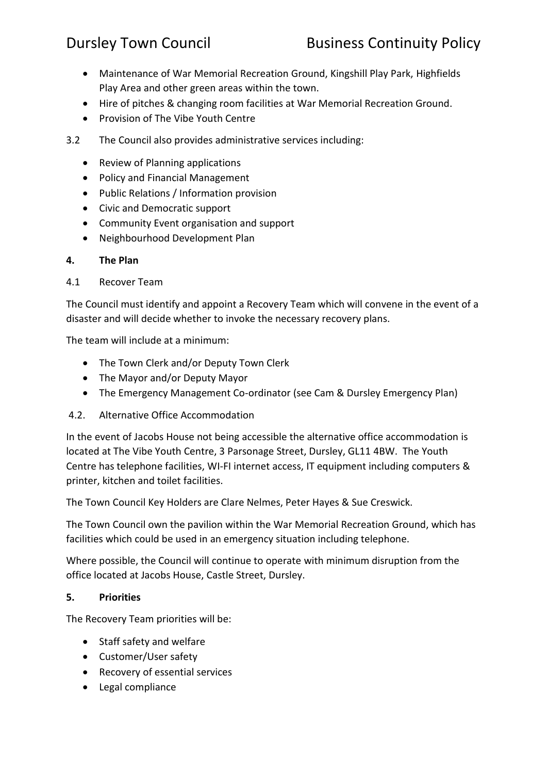- Maintenance of War Memorial Recreation Ground, Kingshill Play Park, Highfields Play Area and other green areas within the town.
- Hire of pitches & changing room facilities at War Memorial Recreation Ground.
- Provision of The Vibe Youth Centre
- 3.2 The Council also provides administrative services including:
	- Review of Planning applications
	- Policy and Financial Management
	- Public Relations / Information provision
	- Civic and Democratic support
	- Community Event organisation and support
	- Neighbourhood Development Plan

### **4. The Plan**

4.1 Recover Team

The Council must identify and appoint a Recovery Team which will convene in the event of a disaster and will decide whether to invoke the necessary recovery plans.

The team will include at a minimum:

- The Town Clerk and/or Deputy Town Clerk
- The Mayor and/or Deputy Mayor
- The Emergency Management Co-ordinator (see Cam & Dursley Emergency Plan)
- 4.2. Alternative Office Accommodation

In the event of Jacobs House not being accessible the alternative office accommodation is located at The Vibe Youth Centre, 3 Parsonage Street, Dursley, GL11 4BW. The Youth Centre has telephone facilities, WI-FI internet access, IT equipment including computers & printer, kitchen and toilet facilities.

The Town Council Key Holders are Clare Nelmes, Peter Hayes & Sue Creswick.

The Town Council own the pavilion within the War Memorial Recreation Ground, which has facilities which could be used in an emergency situation including telephone.

Where possible, the Council will continue to operate with minimum disruption from the office located at Jacobs House, Castle Street, Dursley.

## **5. Priorities**

The Recovery Team priorities will be:

- Staff safety and welfare
- Customer/User safety
- Recovery of essential services
- Legal compliance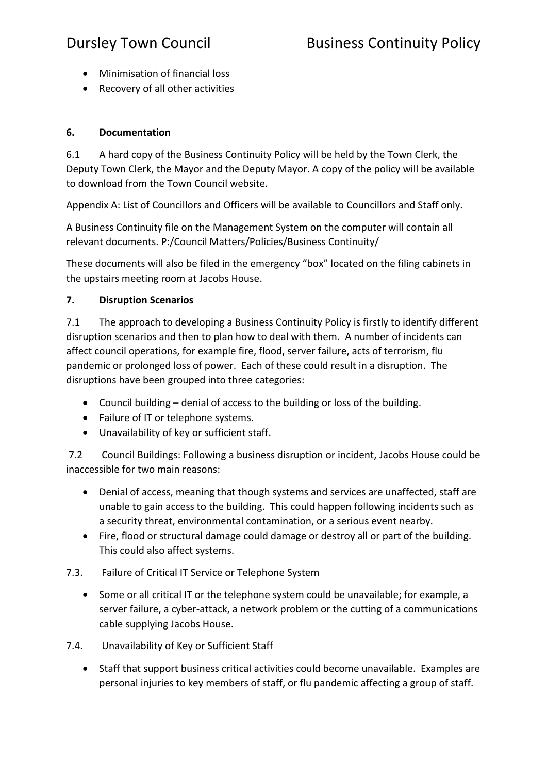- Minimisation of financial loss
- Recovery of all other activities

## **6. Documentation**

6.1 A hard copy of the Business Continuity Policy will be held by the Town Clerk, the Deputy Town Clerk, the Mayor and the Deputy Mayor. A copy of the policy will be available to download from the Town Council website.

Appendix A: List of Councillors and Officers will be available to Councillors and Staff only.

A Business Continuity file on the Management System on the computer will contain all relevant documents. P:/Council Matters/Policies/Business Continuity/

These documents will also be filed in the emergency "box" located on the filing cabinets in the upstairs meeting room at Jacobs House.

## **7. Disruption Scenarios**

7.1 The approach to developing a Business Continuity Policy is firstly to identify different disruption scenarios and then to plan how to deal with them. A number of incidents can affect council operations, for example fire, flood, server failure, acts of terrorism, flu pandemic or prolonged loss of power. Each of these could result in a disruption. The disruptions have been grouped into three categories:

- Council building denial of access to the building or loss of the building.
- Failure of IT or telephone systems.
- Unavailability of key or sufficient staff.

7.2 Council Buildings: Following a business disruption or incident, Jacobs House could be inaccessible for two main reasons:

- Denial of access, meaning that though systems and services are unaffected, staff are unable to gain access to the building. This could happen following incidents such as a security threat, environmental contamination, or a serious event nearby.
- Fire, flood or structural damage could damage or destroy all or part of the building. This could also affect systems.

# 7.3. Failure of Critical IT Service or Telephone System

- Some or all critical IT or the telephone system could be unavailable; for example, a server failure, a cyber-attack, a network problem or the cutting of a communications cable supplying Jacobs House.
- 7.4. Unavailability of Key or Sufficient Staff
	- Staff that support business critical activities could become unavailable. Examples are personal injuries to key members of staff, or flu pandemic affecting a group of staff.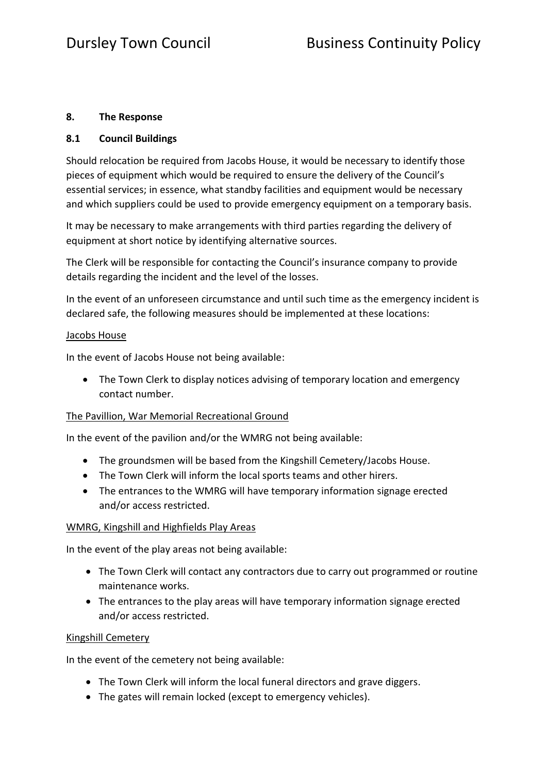## **8. The Response**

## **8.1 Council Buildings**

Should relocation be required from Jacobs House, it would be necessary to identify those pieces of equipment which would be required to ensure the delivery of the Council's essential services; in essence, what standby facilities and equipment would be necessary and which suppliers could be used to provide emergency equipment on a temporary basis.

It may be necessary to make arrangements with third parties regarding the delivery of equipment at short notice by identifying alternative sources.

The Clerk will be responsible for contacting the Council's insurance company to provide details regarding the incident and the level of the losses.

In the event of an unforeseen circumstance and until such time as the emergency incident is declared safe, the following measures should be implemented at these locations:

### Jacobs House

In the event of Jacobs House not being available:

• The Town Clerk to display notices advising of temporary location and emergency contact number.

## The Pavillion, War Memorial Recreational Ground

In the event of the pavilion and/or the WMRG not being available:

- The groundsmen will be based from the Kingshill Cemetery/Jacobs House.
- The Town Clerk will inform the local sports teams and other hirers.
- The entrances to the WMRG will have temporary information signage erected and/or access restricted.

### WMRG, Kingshill and Highfields Play Areas

In the event of the play areas not being available:

- The Town Clerk will contact any contractors due to carry out programmed or routine maintenance works.
- The entrances to the play areas will have temporary information signage erected and/or access restricted.

### Kingshill Cemetery

In the event of the cemetery not being available:

- The Town Clerk will inform the local funeral directors and grave diggers.
- The gates will remain locked (except to emergency vehicles).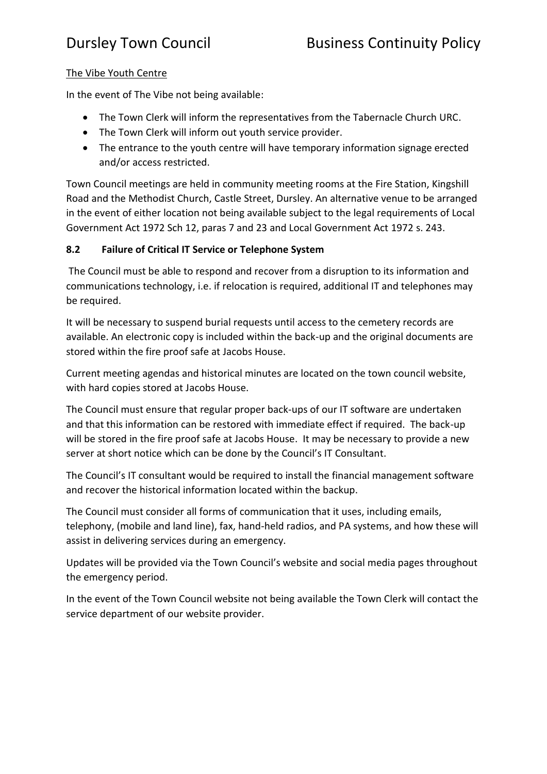## The Vibe Youth Centre

In the event of The Vibe not being available:

- The Town Clerk will inform the representatives from the Tabernacle Church URC.
- The Town Clerk will inform out youth service provider.
- The entrance to the youth centre will have temporary information signage erected and/or access restricted.

Town Council meetings are held in community meeting rooms at the Fire Station, Kingshill Road and the Methodist Church, Castle Street, Dursley. An alternative venue to be arranged in the event of either location not being available subject to the legal requirements of Local Government Act 1972 Sch 12, paras 7 and 23 and Local Government Act 1972 s. 243.

## **8.2 Failure of Critical IT Service or Telephone System**

The Council must be able to respond and recover from a disruption to its information and communications technology, i.e. if relocation is required, additional IT and telephones may be required.

It will be necessary to suspend burial requests until access to the cemetery records are available. An electronic copy is included within the back-up and the original documents are stored within the fire proof safe at Jacobs House.

Current meeting agendas and historical minutes are located on the town council website, with hard copies stored at Jacobs House.

The Council must ensure that regular proper back-ups of our IT software are undertaken and that this information can be restored with immediate effect if required. The back-up will be stored in the fire proof safe at Jacobs House. It may be necessary to provide a new server at short notice which can be done by the Council's IT Consultant.

The Council's IT consultant would be required to install the financial management software and recover the historical information located within the backup.

The Council must consider all forms of communication that it uses, including emails, telephony, (mobile and land line), fax, hand-held radios, and PA systems, and how these will assist in delivering services during an emergency.

Updates will be provided via the Town Council's website and social media pages throughout the emergency period.

In the event of the Town Council website not being available the Town Clerk will contact the service department of our website provider.